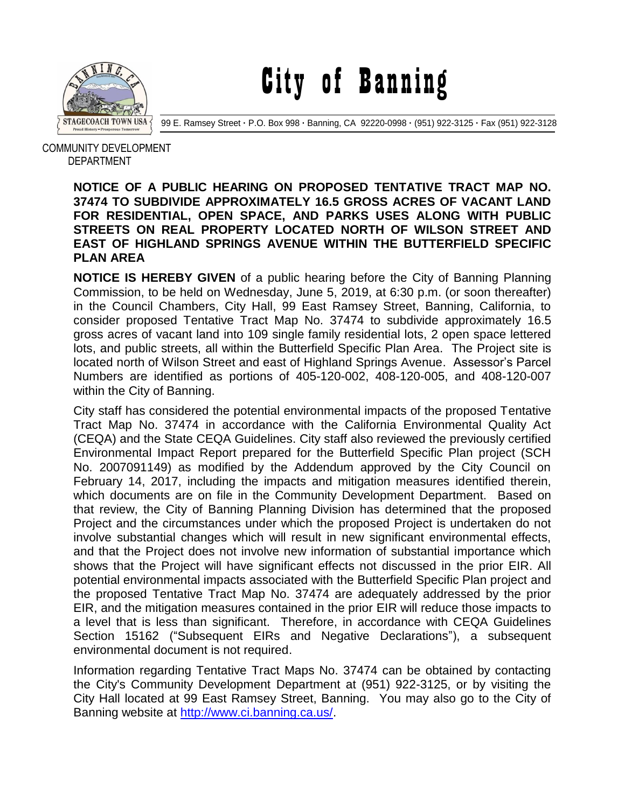

City of Banning

99 E. Ramsey Street **·** P.O. Box 998 **·** Banning, CA 92220-0998 **·** (951) 922-3125 **·** Fax (951) 922-3128

 COMMUNITY DEVELOPMENT DEPARTMENT

## **NOTICE OF A PUBLIC HEARING ON PROPOSED TENTATIVE TRACT MAP NO. 37474 TO SUBDIVIDE APPROXIMATELY 16.5 GROSS ACRES OF VACANT LAND FOR RESIDENTIAL, OPEN SPACE, AND PARKS USES ALONG WITH PUBLIC STREETS ON REAL PROPERTY LOCATED NORTH OF WILSON STREET AND EAST OF HIGHLAND SPRINGS AVENUE WITHIN THE BUTTERFIELD SPECIFIC PLAN AREA**

**NOTICE IS HEREBY GIVEN** of a public hearing before the City of Banning Planning Commission, to be held on Wednesday, June 5, 2019, at 6:30 p.m. (or soon thereafter) in the Council Chambers, City Hall, 99 East Ramsey Street, Banning, California, to consider proposed Tentative Tract Map No. 37474 to subdivide approximately 16.5 gross acres of vacant land into 109 single family residential lots, 2 open space lettered lots, and public streets, all within the Butterfield Specific Plan Area. The Project site is located north of Wilson Street and east of Highland Springs Avenue. Assessor's Parcel Numbers are identified as portions of 405-120-002, 408-120-005, and 408-120-007 within the City of Banning.

City staff has considered the potential environmental impacts of the proposed Tentative Tract Map No. 37474 in accordance with the California Environmental Quality Act (CEQA) and the State CEQA Guidelines. City staff also reviewed the previously certified Environmental Impact Report prepared for the Butterfield Specific Plan project (SCH No. 2007091149) as modified by the Addendum approved by the City Council on February 14, 2017, including the impacts and mitigation measures identified therein, which documents are on file in the Community Development Department. Based on that review, the City of Banning Planning Division has determined that the proposed Project and the circumstances under which the proposed Project is undertaken do not involve substantial changes which will result in new significant environmental effects, and that the Project does not involve new information of substantial importance which shows that the Project will have significant effects not discussed in the prior EIR. All potential environmental impacts associated with the Butterfield Specific Plan project and the proposed Tentative Tract Map No. 37474 are adequately addressed by the prior EIR, and the mitigation measures contained in the prior EIR will reduce those impacts to a level that is less than significant. Therefore, in accordance with CEQA Guidelines Section 15162 ("Subsequent EIRs and Negative Declarations"), a subsequent environmental document is not required.

Information regarding Tentative Tract Maps No. 37474 can be obtained by contacting the City's Community Development Department at (951) 922-3125, or by visiting the City Hall located at 99 East Ramsey Street, Banning. You may also go to the City of Banning website at [http://www.ci.banning.ca.us/.](http://www.ci.banning.ca.us/)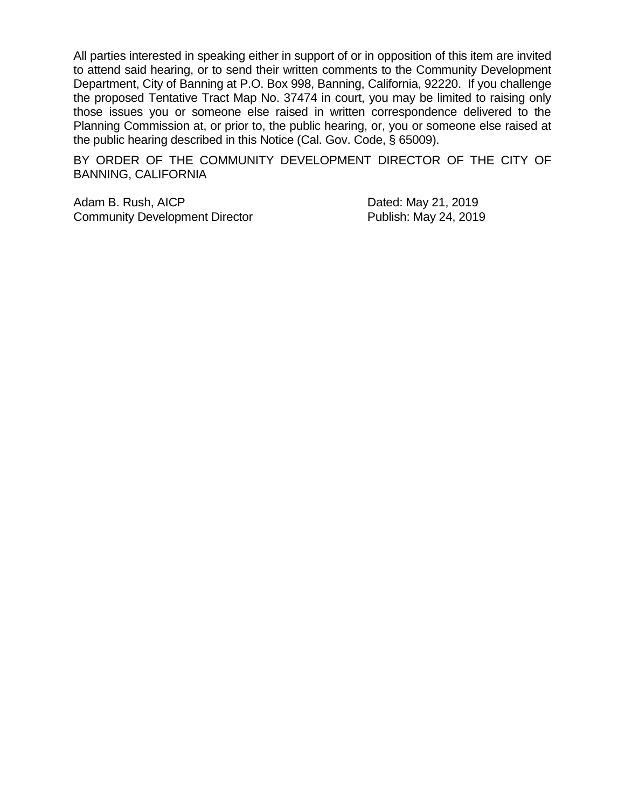All parties interested in speaking either in support of or in opposition of this item are invited to attend said hearing, or to send their written comments to the Community Development Department, City of Banning at P.O. Box 998, Banning, California, 92220. If you challenge the proposed Tentative Tract Map No. 37474 in court, you may be limited to raising only those issues you or someone else raised in written correspondence delivered to the Planning Commission at, or prior to, the public hearing, or, you or someone else raised at the public hearing described in this Notice (Cal. Gov. Code, § 65009).

BY ORDER OF THE COMMUNITY DEVELOPMENT DIRECTOR OF THE CITY OF BANNING, CALIFORNIA

Adam B. Rush, AICP Dated: May 21, 2019 Community Development Director **Publish: May 24, 2019**